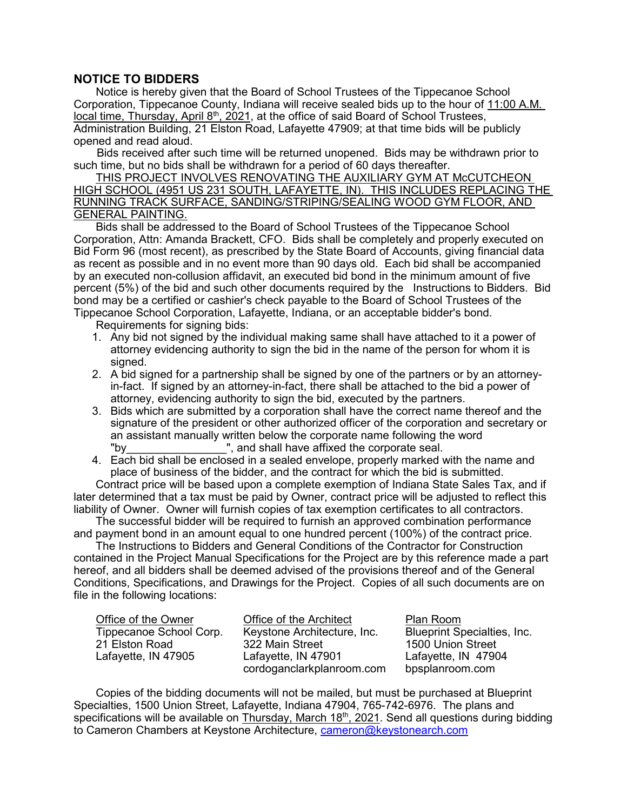## **NOTICE TO BIDDERS**

Notice is hereby given that the Board of School Trustees of the Tippecanoe School Corporation, Tippecanoe County, Indiana will receive sealed bids up to the hour of 11:00 A.M. local time, Thursday, April  $8<sup>th</sup>$ , 2021, at the office of said Board of School Trustees, Administration Building, 21 Elston Road, Lafayette 47909; at that time bids will be publicly opened and read aloud.

Bids received after such time will be returned unopened. Bids may be withdrawn prior to such time, but no bids shall be withdrawn for a period of 60 days thereafter.

THIS PROJECT INVOLVES RENOVATING THE AUXILIARY GYM AT McCUTCHEON HIGH SCHOOL (4951 US 231 SOUTH, LAFAYETTE, IN). THIS INCLUDES REPLACING THE RUNNING TRACK SURFACE, SANDING/STRIPING/SEALING WOOD GYM FLOOR, AND GENERAL PAINTING.

Bids shall be addressed to the Board of School Trustees of the Tippecanoe School Corporation, Attn: Amanda Brackett, CFO. Bids shall be completely and properly executed on Bid Form 96 (most recent), as prescribed by the State Board of Accounts, giving financial data as recent as possible and in no event more than 90 days old. Each bid shall be accompanied by an executed non-collusion affidavit, an executed bid bond in the minimum amount of five percent (5%) of the bid and such other documents required by the Instructions to Bidders. Bid bond may be a certified or cashier's check payable to the Board of School Trustees of the Tippecanoe School Corporation, Lafayette, Indiana, or an acceptable bidder's bond.

Requirements for signing bids:

- 1. Any bid not signed by the individual making same shall have attached to it a power of attorney evidencing authority to sign the bid in the name of the person for whom it is signed.
- 2. A bid signed for a partnership shall be signed by one of the partners or by an attorneyin-fact. If signed by an attorney-in-fact, there shall be attached to the bid a power of attorney, evidencing authority to sign the bid, executed by the partners.
- 3. Bids which are submitted by a corporation shall have the correct name thereof and the signature of the president or other authorized officer of the corporation and secretary or an assistant manually written below the corporate name following the word "by\_\_\_\_\_\_\_\_\_\_\_\_\_\_\_\_\_\_\_\_", and shall have affixed the corporate seal.
- 4. Each bid shall be enclosed in a sealed envelope, properly marked with the name and place of business of the bidder, and the contract for which the bid is submitted.

Contract price will be based upon a complete exemption of Indiana State Sales Tax, and if later determined that a tax must be paid by Owner, contract price will be adjusted to reflect this liability of Owner. Owner will furnish copies of tax exemption certificates to all contractors.

The successful bidder will be required to furnish an approved combination performance and payment bond in an amount equal to one hundred percent (100%) of the contract price.

The Instructions to Bidders and General Conditions of the Contractor for Construction contained in the Project Manual Specifications for the Project are by this reference made a part hereof, and all bidders shall be deemed advised of the provisions thereof and of the General Conditions, Specifications, and Drawings for the Project. Copies of all such documents are on file in the following locations:

| Office of the Owner     | Office of the Architect     | Plan Room                          |
|-------------------------|-----------------------------|------------------------------------|
| Tippecanoe School Corp. | Keystone Architecture, Inc. | <b>Blueprint Specialties, Inc.</b> |
| 21 Elston Road          | 322 Main Street             | 1500 Union Street                  |
| Lafayette, IN 47905     | Lafayette, IN 47901         | Lafayette, IN 47904                |
|                         | cordoganclarkplanroom.com   | bpsplanroom.com                    |

Copies of the bidding documents will not be mailed, but must be purchased at Blueprint Specialties, 1500 Union Street, Lafayette, Indiana 47904, 765-742-6976. The plans and specifications will be available on Thursday, March 18<sup>th</sup>, 2021. Send all questions during bidding to Cameron Chambers at Keystone Architecture, [cameron@keystonearch.com](mailto:cameron@keystonearch.com)